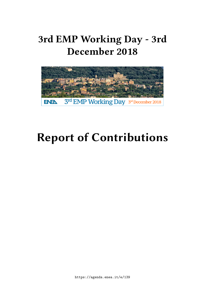# **3rd EMP Working Day - 3rd December 2018**



# **Report of Contributions**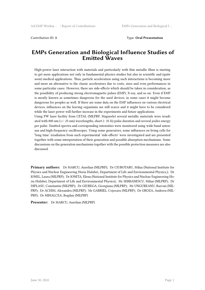#### **EMPs Generation and Biological Influence Studies of Emitted Waves**

High-power laser interaction with materials and particularly with thin metallic films is starting to get more applications not only in fundamental physics studies but also in scientific and (quite soon) medical applications. Thus, particle acceleration using such interactions is becoming more and more an alternative to the classic accelerators due to costs, sizes and even performances in some particular cases. However, there are side-effects which should be taken in consideration, as the possibility of producing strong electromagnetic pulses (EMP), X-ray, and so on. Even if EMP is mostly known as sometimes dangerous for the used devices, in some cases it might become dangerous for peoples as well. If there are some data on the EMP influences on various electrical devices, influences on the leaving organisms are still scarce and it might have to be considered while the laser power will further increase in the experiments and future applications.

Using PW laser facility from CETAL (NILPRP, Magurele) several metallic materials were irradiated with 800 nm  $(+)$  25 nm) wavelengths, short  $($  35 fs) pulse duration and several joules energy per pulse. Emitted spectra and corresponding intensities were monitored using wide-band antennas and high-frequency oscilloscopes. Using some generators, some influences on living cells for "long time' irradiation from such experimental 'side-effects' were investigated and are presented together with some interpretation of their generation and possible absorption mechanisms. Some discussions on the generation mechanisms together with the possible protection measures are also discussed.

**Primary authors:** Dr MARCU, Aurelian (NILPRP); Dr CIUBOTARU, Mihai (National Institute for Physics and Nuclear Engineering Horia Hulubei, Department of Life and Environmental Physics,); Dr IONEL, Laura (NILPRP); Dr IONITA, Elena (National Institute for Physics and Nuclear Engineering Horia Hulubei, Department of Life and Environmental Physics); Mr SERBANESCU, Mihai (NILPRP); Dr DIPLASU, Constantin (NILPRP); Dr GIUBEGA, Georgiana (NILPRP); Mr UNGUREANU, Razvan (NIL-PRP); Dr ACHIM, Alexandru (NILPRP); Mr GABRIEL, Cojocaru (NILPRP); Dr GROZA, Andreea (NIL-PRP); Dr MIHALCEA, Bogdan (NILPRP)

**Presenter:** Dr MARCU, Aurelian (NILPRP)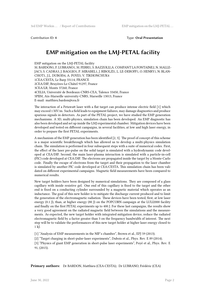```
Contribution ID: 4 Type: Oral Presentation
```
# **EMP mitigation on the LMJ-PETAL facility**

EMP mitigation on the LMJ-PETAL facility M. BARDON1, F. LUBRANO1, M. FERRI1, S. BAZZOLI2,A. COMPANT LA FONTAINE2, N. MALLE-JAC3, S. CADRA3, J. BAGGIO1, P. MIRABEL1, J. RIBOLZI1, L. LE-DEROFF1, O. HENRY1, N. BLAN-CHOT1, J.L. DUBOIS4, A. POYE5, V. TIKHONCHUK4 1CEA/CESTA, Le Barp 33114, FRANCE 2CEA/DIF, Bruyères-Le-Châtel 91297, France 3CEA/LR, Monts 37260, France 4CELIA, Université de Bordeaux-CNRS-CEA, Talence 33450, France 5PIIM, Aix-Marseille university-CNRS, Marseille 13013, France E-mail: matthieu.bardon@cea.fr

The interaction of a Petawatt laser with a flat target can produce intense electric field [1] which may exceed 1 MV/m. Such a field leads to equipment failures, may damage diagnostics and produce spurious signals in detectors. As part of the PETAL project, we have studied the EMP generation mechanisms. A 3D, multi-physics, simulation chain has been developed. An EMP diagnostic has also been developed and set up inside the LMJ experimental chamber. Mitigation devices have been developed and tested on different campaigns, in several facilities, at low and high laser energy, in order to prepare the first PETAL experiments.

A mechanism of the EMP generation has been identified [2, 3]. The proof of concept of this scheme is a major scientific breakthrough which has allowed us to develop a multi-physics simulation chain. The simulation is performed in four subsequent steps with a suite of numerical codes. First, the effect of the laser pre-pulse on the solid target is simulated with a hydrodynamic code developed at CEA/DIF. Second, the main laser-plasma interaction is simulated with a particle-in-cell (PIC) code developed at CEA/DIF. The electrons are propagated inside the target by a Monte-Carlo code. Finally the escape of electrons from the target and their propagation to the laser chamber is simulated by another PIC code developed at CEA/CESTA. This simulation chain has been validated on different experimental campaigns. Magnetic field measurements have been compared to numerical results.

New target holders have been designed by numerical simulations. They are composed of a glass capillary with inside resistive gel. One end of this capillary is fixed to the target and the other end is fixed on a conducting cylinder surrounded by a magnetic material which operates as an inductance. The goal of this new holder is to mitigate the discharge current produced and to limit the generation of the electromagnetic radiation. These devices have been tested, first, at low laser energy (0.1 J), than, at higher energy (80 J) on the POPCORN campaign at the LULI2000 facility and finally on the first PETAL experiments up to 400 J. For these last campaigns, the results show a very good agreement on the radiated magnetic field between the simulations and the measurements. As expected, the new target holder with integrated mitigation device, reduce the radiated electromagnetic field by a factor greater than 3 on the frequency bandwidth of interest. The next step will be to validate the performances of this new target holder at higher laser energy closed to 1 kJ.

[1] "Analysis of EMP measurements in the NIF's chamber", Brown et al., EPJ 59 (2013).

[2] "Target charging in short-pulse-laser experiments", Dubois et al., Phys. Rev. E 89 (2014).

[3] "Physics of giant EMP generation in short-pulse laser experiments", Poyé et al., Phys. Rev. E 91, (2015).

**Primary authors:** Dr BARDON, Matthieu (CEA-CESTA); Dr LUBRANO, Frédéric (CEA)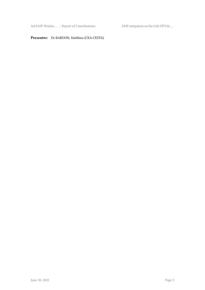3rd EMP Workin … / Report of Contributions EMP mitigation on the LMJ-PETAL …

#### **Presenter:** Dr BARDON, Matthieu (CEA-CESTA)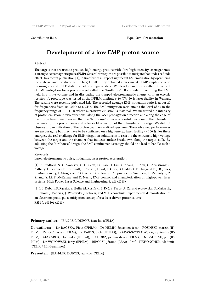## **Development of a low EMP proton source**

#### Abstract

The targets that are used to produce high-energy protons with ultra-high intensity lasers generate a strong electromagnetic pulse (EMP). Several strategies are possible to mitigate that undesired side effect. In a recent publication [1], P. Bradford et al. report significant EMP mitigation by optimizing the material and the shape of the target stalk. They obtained a maximal 4.5 EMP amplitude ratio by using a spiral PTFE stalk instead of a regular stalk. We develop and test a different concept of EMP mitigation for a proton-target called the "birdhouse". It consists in confining the EMP field in a finite volume and in dissipating the trapped electromagnetic energy with an electric resistor. A prototype was tested at the IFPILM institute's 10 TW 50 fs laser facility in Warsaw. The results were recently published [2]. The recorded average EMP mitigation ratio is about 20 for frequencies from 100 MHz to 6 GHz. The EMP mitigation ratio attains the level of 50 in the frequency range of 1 - 2 GHz where microwave emission is maximal. We measured the intensity of proton emission in two directions: along the laser propagation direction and along the edge of the proton beam. We observed that the "birdhouse" induces a two-fold increase of the intensity in the center of the proton beam and a two-fold reduction of the intensity on its edge. We did not observe any modification of the proton beam normalized spectrum. These obtained performances are encouraging but they have to be confirmed on a high-energy laser facility  $(> 100)$ . For these energies, the real challenge for EMP mitigation solutions is to resist to the extremely high voltage between the target and the chamber that induces surface breakdown along the target stalk. By adjusting the "birdhouse" design, the EMP confinement strategy should be a lead to handle such a voltage.

Keywords:

Laser, electromagnetic pulse, mitigation, laser proton acceleration.

[1] P. Bradford, N. C. Woolsey, G. G. Scott, G. Liao, H. Liu, Y. Zhang, B. Zhu, C. Armstrong, S. Astbury, C. Brenner, P. Brummitt, F. Consoli, I. East, R. Gray, D. Haddock, P. Huggard, P. J. R. Jones, E. Montgomery, I. Musgrave, P. Oliveira, D. R. Rusby, C. Spindloe, B. Summers, E. Zemaityte, Z. Zhang, Y. Li, P. McKenna, and D. Neely, EMP control and characterization on high-power laser systems, High Power Laser Science and Engineering 6, e21 (2018)

[2] J. L. Dubois, P. Rączka, S. Hulin, M. Rosiński, L. Ryć, P. Parys, A. Zaraś-Szydłowska, D. Makaruk, P. Tchórz, J. Badziak, J. Wołowski, J. Ribolzi, and V. Tikhonchuk, Experimental demonstration of an electromagnetic pulse mitigation concept for a laser driven proton source, RSI 89, 103301 (2018)

#### **Primary author:** JEAN-LUC DUBOIS, jean-luc (CELIA)

**Co-authors:** Dr RĄCZKA, Piotr (IFPILM); Dr HULIN, Sébastien (cea); ROSINSKI, marcin (IF-PILM); Dr RYĆ, lesze (IFPILM); Dr PARYS, piotr (IFPILM); ZARAŚ-SZYDŁOWSKA, agnieszka (IF-PILM); MAKARUK, Dominika (IFPILM); TCHÓRZ, przemyslaw (IFPILM); Dr BADZIAK, jan (IF-PILM); Dr WOŁOWSKI, jerzy (IFPILM); RIBOLZI, jérôme (CEA); Prof. TIKHONCHUK, vladimir (CELIA / ELI-Beamlines)

**Presenter:** JEAN-LUC DUBOIS, jean-luc (CELIA)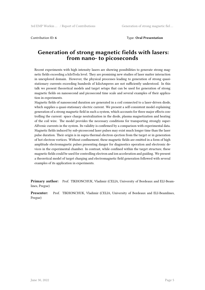#### Contribution ID: **6** Type: **Oral Presentation**

## **Generation of strong magnetic fields with lasers: from nano‐ to picoseconds**

Recent experiments with high intensity lasers are showing possibilities to generate strong magnetic fields exceeding a kiloTesla level. They are promising new studies of laser matter interaction in unexplored domain. However, the physical processes leading to generation of strong quasistationary currents exceeding hundreds of kiloAmperes are not sufficiently understood. In this talk we present theoretical models and target setups that can be used for generation of strong magnetic fields on nanosecond and picosecond time scale and several examples of their application in experiments.

Magnetic fields of nanosecond duration are generated in a coil connected to a laser-driven diode, which supplies a quasi-stationary electric current. We present a self-consistent model explaining generation of a strong magnetic field in such a system, which accounts for three major effects controlling the current: space charge neutralization in the diode, plasma magnetization and heating of the coil wire. The model provides the necessary conditions for transporting strongly super-Alfvenic currents in the system. Its validity is confirmed by a comparison with experimental data. Magnetic fields induced by sub-picosecond laser pulses may exist much longer time than the laser pulse duration. Their origin is in supra-thermal electron ejection from the target or in generation of hot electron vortices. Without confinement, these magnetic fields are emitted in a form of high amplitude electromagnetic pulses presenting danger for diagnostics operation and electronic devices in the experimental chamber. In contrast, while confined within the target structure, these magnetic fields could be used for controlling electron and ion acceleration and guiding. We present a theoretical model of target charging and electromagnetic field generation followed with several examples of its application in experiments.

**Primary author:** Prof. TIKHONCHUK, Vladimir (CELIA, University of Bordeaux and ELI-Beamlines, Pregue)

**Presenter:** Prof. TIKHONCHUK, Vladimir (CELIA, University of Bordeaux and ELI-Beamlines, Pregue)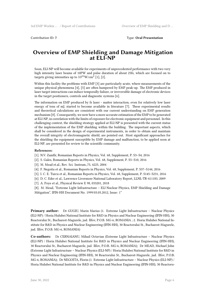Contribution ID: **7** Type: **Oral Presentation**

#### **Overview of EMP Shielding and Damage Mitigation at ELI-NP**

Soon, ELI-NP will become available for experiments of unprecedented performance with two very high intensity laser beams of 10PW and pulse duration of about 25fs, which are focused on to targets giving intensities up to  $10^{23}$ W/cm $^2$  [1], [2].

Within this facility the problems with EMP [3] are particularly acute, where measurements of the unique physical phenomena [4], [5] are often hampered by EMP peak-up. The EMP produced in laser target interactions can induce temporally failure, or irreversible damage of electronic devices in the target positioners, controls and diagnostic systems [6].

The information on EMP produced by fs laser - matter interaction, even for relatively low laser energy of tens of mJ, started to become available in literature [7]. These experimental results and theoretical calculations are consistent with our current understanding on EMP generation mechanism [8]. Consequently, we now have a more accurate estimation of the EMP to be generated at ELI-NP, in correlation with the limits of exposure for electronic equipment and personnel. In this challenging context, the shielding strategy applied at ELI-NP is presented with the current status of the implementation of the EMP shielding within the building. The important aspects, which shall be considered in the design of experimental instruments, in order to obtain and maintain the overall integrity of electromagnetic shield, are pointed out. Most significant approaches for the shielding the equipment susceptible by EMP damage and malfunction, to be applied soon at ELI-NP, are presented for review to the scientific community.

#### **References:**

[1]. N.V. Zamfir, Romanian Reports in Physics, Vol. 68, Supplement, P. S3–S4, 2016

[2]. S. Gales, Romanian Reports in Physics, Vol. 68, Supplement, P. S5–S10, 2016

[3]. M. Mead et.al., Rev. Sci. Instrum.,75, 4225, 2004

[4]. F. Negoita et al., Romanian Reports in Physics, Vol. 68, Supplement, P. S37–S144, 2016

[5]. I. C. E. Turcu et al., Romanian Reports in Physics, Vol. 68, Supplement, P. S145–S231, 2016

[6]. D. C. Eder et al., Lawrence Livermore National Laboratory Report, LLNL-TR-411183, 2009

[7]. A. Poye et al., Physical Review E 98, 033201, 2018

[8]. M. Mead, "Extreme Light Infrastructure – ELI Nuclear Physics, EMP Shielding and Damage Mitigation", IFIN-HH Document No. 1999/03.05.2012, Issue: 1"

**Primary author:** Dr GUGIU, Marin Marius (1. Extreme Light Infrastructure – Nuclear Physics (ELI-NP) / Horia Hulubei National Institute for R&D in Physics and Nuclear Engineering (IFIN-HH), 30 Reactorului St., Bucharest-Magurele, jud. Ilfov, P.O.B. MG-6, ROMANIA ; 2. Horia Hulubei National Institute for R&D in Physics and Nuclear Engineering (IFIN-HH), 30 Reactorului St., Bucharest-Magurele, jud. Ilfov, P.O.B. MG-6, ROMANIA)

**Co-authors:** Dr CERNAIANU, Mihail Octavian (Extreme Light Infrastructure – Nuclear Physics (ELI-NP) / Horia Hulubei National Institute for R&D in Physics and Nuclear Engineering (IFIN-HH), 30 Reactorului St., Bucharest-Magurele, jud. Ilfov, P.O.B. MG-6, ROMANIA); Dr MEAD, Michael John (Extreme Light Infrastructure – Nuclear Physics (ELI-NP) / Horia Hulubei National Institute for R&D in Physics and Nuclear Engineering (IFIN-HH), 30 Reactorului St., Bucharest-Magurele, jud. Ilfov, P.O.B. MG-6, ROMANIA); Dr NEGOITA, Florin (1. Extreme Light Infrastructure – Nuclear Physics (ELI-NP) / Horia Hulubei National Institute for R&D in Physics and Nuclear Engineering (IFIN-HH), 30 Reactoru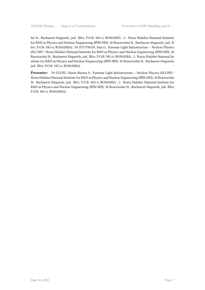lui St., Bucharest-Magurele, jud. Ilfov, P.O.B. MG-6, ROMANIA ; 2. Horia Hulubei National Institute for R&D in Physics and Nuclear Engineering (IFIN-HH), 30 Reactorului St., Bucharest-Magurele, jud. Ilfov, P.O.B. MG-6, ROMANIA); Dr STUTMAN, Dan (1. Extreme Light Infrastructure – Nuclear Physics (ELI-NP) / Horia Hulubei National Institute for R&D in Physics and Nuclear Engineering (IFIN-HH), 30 Reactorului St., Bucharest-Magurele, jud. Ilfov, P.O.B. MG-6, ROMANIA ; 2. Horia Hulubei National Institute for R&D in Physics and Nuclear Engineering (IFIN-HH), 30 Reactorului St., Bucharest-Magurele, jud. Ilfov, P.O.B. MG-6, ROMANIA)

**Presenter:** Dr GUGIU, Marin Marius (1. Extreme Light Infrastructure – Nuclear Physics (ELI-NP) / Horia Hulubei National Institute for R&D in Physics and Nuclear Engineering (IFIN-HH), 30 Reactorului St., Bucharest-Magurele, jud. Ilfov, P.O.B. MG-6, ROMANIA ; 2. Horia Hulubei National Institute for R&D in Physics and Nuclear Engineering (IFIN-HH), 30 Reactorului St., Bucharest-Magurele, jud. Ilfov, P.O.B. MG-6, ROMANIA)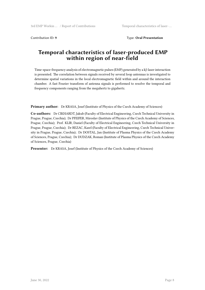Contribution ID: **9** Type: **Oral Presentation**

## **Temporal characteristics of laser-produced EMP within region of near-field**

Time-space-frequency analysis of electromagnetic pulses (EMP) generated by a kJ-laser interaction is presented. The correlation between signals received by several loop antennas is investigated to determine spatial variations in the local electromagnetic field within and around the interaction chamber. A fast Fourier transform of antenna signals is performed to resolve the temporal and frequency components ranging from the megahertz to gigahertz.

**Primary author:** Dr KRASA, Josef (Institute of Physics of the Czech Academy of Sciences)

**Co-authors:** Dr CIKHARDT, Jakub (Faculty of Electrical Engineering, Czech Technical University in Prague, Prague, Czechia); Dr PFEIFER, Miroslav (Institute of Physics of the Czech Academy of Sciences, Prague, Czechia); Prof. KLIR, Daniel (Faculty of Electrical Engineering, Czech Technical University in Prague, Prague, Czechia); Dr REZAC, Karel (Faculty of Electrical Engineering, Czech Technical University in Prague, Prague, Czechia); Dr DOSTAL, Jan (Institute of Plasma Physics of the Czech Academy of Sciences, Prague, Czechia); Dr DUDZAK, Roman (Institute of Plasma Physics of the Czech Academy of Sciences, Prague, Czechia)

**Presenter:** Dr KRASA, Josef (Institute of Physics of the Czech Academy of Sciences)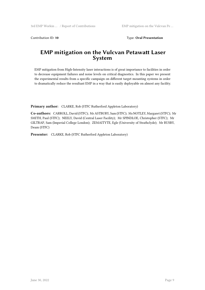Contribution ID: 10 Type: Oral Presentation

## **EMP mitigation on the Vulcvan Petawatt Laser System**

EMP mitigation from High-Intensity laser interactions is of great importance to facilities in order to decrease equipment failures and noise levels on critical diagnostics. In this paper we present the experimental results from a specific campaign on different target mounting systems in order to dramatically reduce the resultant EMP in a way that is easily deployable on almost any facility.

**Primary author:** CLARKE, Rob (STFC Rutherford Appleton Laboratory)

**Co-authors:** CARROLL, David (STFC); Mr ASTBURY, Sam (STFC); Ms NOTLEY, Margaret (STFC); Mr SMITH, Paul (STFC); NEELY, David (Central Laser Facility); Mr SPINDLOE, Christopher (STFC); Mr GILTRAP, Sam (Imperial College London); ZEMAITYTE, Egle (University of Strathclyde); Mr RUSBY, Deam (STFC)

**Presenter:** CLARKE, Rob (STFC Rutherford Appleton Laboratory)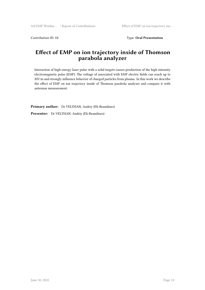Contribution ID: 11 Type: Oral Presentation

# **Effect of EMP on ion trajectory inside of Thomson parabola analyzer**

Interaction of high energy laser pulse with a solid targets causes production of the high intensity electromagnetic pulse (EMP). The voltage of associated with EMP electric fields can reach up to MV/m and strongly influence behavior of charged particles from plasma. In this work we describe the effect of EMP on ion trajectory inside of Thomson parabola analyzer and compare it with antennas measurement.

**Primary author:** Dr VELYHAN, Andriy (Eli-Beamlines)

**Presenter:** Dr VELYHAN, Andriy (Eli-Beamlines)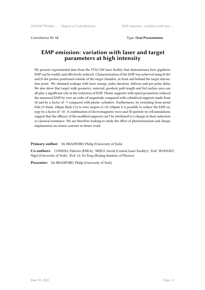**Contribution ID: 12** 

### **EMP emission: variation with laser and target parameters at high intensity**

We present experimental data from the VULCAN laser facility that demonstrates how gigahertz EMP can be readily and effectively reduced. Characterization of the EMP was achieved using B-dot and D-dot probes positioned outside of the target chamber, in front and behind the target interaction point. We obtained scalings with laser energy, pulse duration, defocus and pre-pulse delay. We also show that target stalk geometry, material, geodesic path length and foil surface area can all play a significant role in the reduction of EMP. Plastic supports with spiral geometries reduced the measured EMP by over an order of magnitude compared with cylindrical supports made from Al and by a factor of ~7 compared with plastic cylinders. Furthermore, by switching from metal foils ( $3\times8$ mm,  $100\mu$ m thick Cu) to wire targets ( $\varnothing$ =25-100 $\mu$ m) it is possible to reduce the EMP energy by a factor of ~10. A combination of electromagnetic wave and 3D particle-in-cell simulations suggest that the efficacy of the modified supports can't be attributed to a change in their induction or classical resistance. We are therefore looking to study the effect of photoionization and charge implantation on return currents in future work.

**Primary author:** Mr BRADFORD, Philip (University of York)

**Co-authors:** CONSOLI, Fabrizio (ENEA); NEELY, David (Central Laser Facility); Prof. WOOLSEY, Nigel (University of York); Prof. LI, Yu-Tong (Beijing Institute of Physics)

**Presenter:** Mr BRADFORD, Philip (University of York)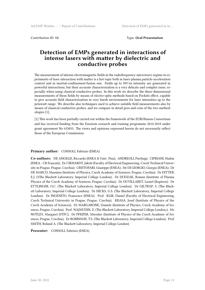## **Detection of EMPs generated in interactions of intense lasers with matter by dielectric and conductive probes**

The measurement of intense electromagnetic fields in the radiofrequency-microwave regime in experiments of laser interaction with matter is a hot topic both in laser-plasma particle-acceleration context and in inertial-confinement-fusion one. Fields up to MV/m intensity are generated in powerful interactions, but their accurate characterization is a very delicate and complex issue, especially when using classical conductive probes. In this work we describe the three-dimensional measurements of these fields by means of electro-optic methods based on Pockels effect, capable to give accurate field characterization in very harsh environments for laser intensities up to the petawatt range. We describe also techniques used to achieve suitable field measurements also by means of classical conductive probes, and we compare in detail pros and cons of the two methodologies [1].

[1] This work has been partially carried out within the framework of the EUROfusion Consortium and has received funding from the Euratom research and training programme 2014-2018 under grant agreement No 633053. The views and opinions expressed herein do not necessarily reflect those of the European Commission.

#### **Primary author:** CONSOLI, Fabrizio (ENEA)

**Co-authors:** DE ANGELIS, Riccardo (ENEA & Univ. Pisa); ANDREOLI, Pierluigi; CIPRIANI, Mattia (ENEA - CR Frascati); Dr CIKHARDT, Jakub (Faculty of Electrical Engineering, Czech Technical University in Prague, Prague, Czechia); CRISTOFARI, Giuseppe (ENEA); Mr DI GIORGIO, Giorgio (ENEA); Dr DE MARCO, Massimo (Institute of Physics, Czech Academy of Sciences, Prague, Czechia); Dr DITTER, E.J. (5The Blackett Laboratory, Imperial College London); Dr DUDZAK, Roman (Institute of Plasma Physics of the Czech Academy of Sciences, Prague, Czechia); Dr DUVILLARET, Lionel (Kapteos); Dr ETTLINGER, O.C. (The Blackett Laboratory, Imperial College London); Dr GILTRAP, S. (The Blackett Laboratory, Imperial College London); Dr HICKS, G.S. (The Blackett Laboratory, Imperial College London); Dr INGENITO, Francesco (ENEA); Prof. KLIR, Daniel (Faculty of Electrical Engineering, Czech Technical University in Prague, Prague, Czechia); KRASA, Josef (Institute of Physics of the Czech Academy of Sciences); Dr MARGARONE, Daniele (Institute of Physics, Czech Academy of Sciences, Prague, Czechia); Prof. NAJMUDIN, Z. (The Blackett Laboratory, Imperial College London,); Ms NOTLEY, Margaret (STFC); Dr PFEIFER, Miroslav (Institute of Physics of the Czech Academy of Sciences, Prague, Czechia); Dr ROBINSON, T.S. (The Blackett Laboratory, Imperial College London); Prof. SMITH, Roland A. (The Blackett Laboratory, Imperial College London)

**Presenter:** CONSOLI, Fabrizio (ENEA)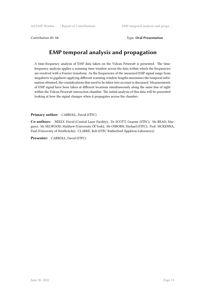#### Contribution ID: **14** Type: **Oral Presentation**

# **EMP temporal analysis and propagation**

A time-frequency analysis of EMP data taken on the Vulcan Petawatt is presented. The timefrequency analysis applies a scanning time-window across the data within which the frequencies are resolved with a Fourier transform. As the frequencies of the measured EMP signal range from megahertz to gigahertz applying different scanning window lengths maximises the temporal information obtained, the considerations that need to be taken into account is discussed. Measurements of EMP signal have been taken at different locations simultaneously along the same line of sight within the Vulcan Petawatt interaction chamber. The initial analysis of this data will be presented looking at how the signal changes when it propagates across the chamber.

#### **Primary author:** CARROLL, David (STFC)

**Co-authors:** NEELY, David (Central Laser Facility); Dr SCOTT, Graeme (STFC); Ms READ, Margaret; Mr SELWOOD, Matthew (University Of York); Mr OSBORN, Michael (STFC); Prof. MCKENNA, Paul (University of Strathclyde); CLARKE, Rob (STFC Rutherford Appleton Laboratory)

**Presenter:** CARROLL, David (STFC)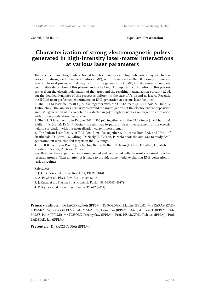Contribution ID: **15** Type: **Oral Presentation**

## **Characterization of strong electromagnetic pulses generated in high-intensity laser-matter interactions at various laser parameters**

The process of laser-target interaction at high laser energies and high intensities may lead to generation of strong electromagnetic pulses (EMP), with frequencies in the GHz range. There are several physical processes that may result in the generation of EMP, but at present a complete quantitative description of this phenomenon is lacking. An important contribution to this process comes from the electric polarization of the target and the resulting neutralization current [1,2,3], but the detailed dynamics of this process is different in the case of fs, ps and ns lasers. Recently the IPPLM team performed experiments on EMP generation at various laser facilities:

1. The IPPLM laser facility (0.4 J, 50 fs), together with the CELIA team (J.-L. Dubois, S. Hulin, V. Tikhonchuk); the aim was primarily to extend the investigations of the electric charge deposition and EMP generation of micrometer foils started in [4] to higher energies on target, in correlation with proton acceleration measurement.

2. The PALS laser facility in Prague (700 J, 300 ps), together with the PALS team (J. Cikhardt, M. Pfeifer, J. Krása, M. Krůs, J. Dostál); the aim was to perform direct measurement of the electric field in correlation with the neutralization current measurement.

3. The Vulcan laser facility at RAL (700 J, 600 fs), together with teams from RAL and Univ. of Strathclyde (D. Carroll, S. Giltrap, D. Neely, R. Wilson, P. McKenna); the aim was to study EMP generation off ultra-thin foil targets in the PW range.

4. The ILIL facility in Pisa (3 J, 35 fs), together with the ILIL team (L. Gizzi, F. Baffigi, L. Labate, P. Koester, F. Brandi, D. Giove, A. Fazzi).

Results from these experiments are summarized and confronted with the results obtained by other research groups. Then an attempt is made to provide some model explaining EMP generation in various regimes.

References:

- 1. J.-L. Dubois et al., Phys. Rev. E 89, 13102 (2014).
- 2. A. Poyé et al., Phys. Rev. E 91, 43106 (2015).
- 3. J. Krása et al., Plasma Phys. Control. Fusion 59, 065007 (2017).
- 4. P. Rączka et al., Laser Part. Beams 35, 677 (2017).

**Primary authors:** Dr RACZKA, Piotr (IPPLM); Dr ROSINSKI, Marcin (IPPLM); Mrs ZARAS-SZYD-LOWSKA, Agnieszka (IPPLM); Ms MAKARUK, Dominika (IPPLM); Mr RYC, Leszek (IPPLM); Mr PARYS, Piotr (IPPLM); Mr TCHORZ, Przemyslaw (IPPLM); Prof. PISARCZYK, Tadeusz (IPPLM); Prof. BADZIAK, Jan (IPPLM)

**Presenter:** Dr RACZKA, Piotr (IPPLM)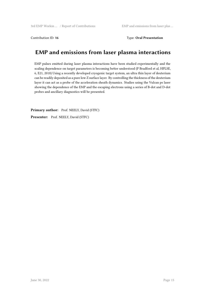Contribution ID: 16 Type: Oral Presentation

# **EMP and emissions from laser plasma interactions**

EMP pulses emitted during laser plasma interactions have been studied experimentally and the scaling dependence on target parameters is becoming better understood (P Bradford et al, HPLSE, 6, E21, 2018) Using a recently developed cryogenic target system, an ultra thin layer of deuterium can be readily deposited as a pure low Z surface layer. By controlling the thickness of the deuterium layer it can act as a probe of the acceleration sheath dynamics. Studies using the Vulcan ps laser showing the dependence of the EMP and the escaping electrons using a series of B-dot and D-dot probes and ancillary diagnostics will be presented.

Primary author: Prof. NEELY, David (STFC) Presenter: Prof. NEELY, David (STFC)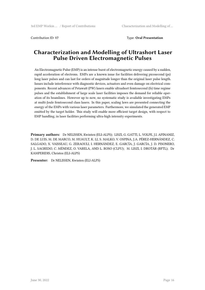Contribution ID: **17** Type: **Oral Presentation**

# **Characterization and Modelling of Ultrashort Laser Pulse Driven Electromagnetic Pulses**

An Electromagnetic Pulse (EMP) is an intense burst of electromagnetic energy caused by a sudden, rapid acceleration of electrons. EMPs are a known issue for facilities delivering picosecond (ps) long laser pulses and can last for orders of magnitude longer than the original laser pulse length. Issues include interference with diagnostic devices, actuators and even damage on electrical components. Recent advances of Petawatt (PW) lasers enable ultrashort femtosecond (fs) time regime pulses and the establishment of large scale laser facilities imposes the demand for reliable operation of its beamlines. However up to now, no systematic study is available investigating EMPs at multi-Joule femtosecond class lasers. In this paper, scaling laws are presented connecting the energy of the EMPs with various laser parameters. Furthermore, we simulated the generated EMP emitted by the target holder. This study will enable more efficient target design, with respect to EMP handling, in laser facilities performing ultra-high intensity experiments.

**Primary authors:** Dr NELISSEN, Kwinten (ELI-ALPS); LISZI, G. GATTI, L. VOLPE, J.I. APINANIZ, D. DE LUIS, M. DE MARCO, M. HUAULT, K. LI, S. MALKO, V. OSPINA, J.A. PÉREZ-HERNÁNDEZ, C. SALGADO, X. VAISSEAU, G. ZERAOULI, I. HERNÁNDEZ, E. GARCÍA, J. GARCÍA, J. D. PISONERO, J. L. SAGREDO, C. MÉNDEZ, O. VARELA, AND L. ROSO (CLPU); M. LISZI, I. DROTÁR (RFTL); Dr KAMPERIDIS, Christos (ELI-ALPS)

**Presenter:** Dr NELISSEN, Kwinten (ELI-ALPS)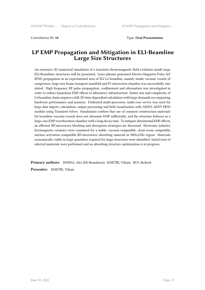#### **LP EMP Propagation and Mitigation in ELI-Beamline Large Size Structures**

An extensive 3D numerical simulation of a transient electromagnetic field evolution inside large ELI-Beamlines structures will be presented. Laser-plasma generated Electro-Magnetic-Pulse (LP EPM) propagation in an experimental area of ELI L4 beamline, namely inside vacuum vessels of compressor, large-size beam-transport manifold and P3 interaction chamber was successfully simulated. High frequency RF pulse propagation, confinement and attenuation was investigated in order to reduce hazardous EMP effects to laboratory infrastructure. Entire size and complexity of L4 beamline chain requires a full-3D time-dependent calculation with large demands on computing hardware performance and memory. Dedicated multi-processor, multi-core server was used for large data import, calculation, output processing and field visualization with ANSYS AEDT HFSS module using Transient Solver. Simulations confirm that use of common construction materials for beamline-vacuum-vessels does not attenuate EMP sufficiently, and the structure behaves as a large-size EMP reverberation chamber with a long decay time. To mitigate detrimental EMP effects, an efficient RF/microwave blocking and absorption strategies are discussed. Electronic industry ferrimagnetic ceramics were examined for a stable, vacuum compatible, clean-room compatible, nuclear activation compatible RF/microwave absorbing material in MHz/GHz region. Materials economically viable in large quantities required for large structures were identified. Initial tests of selected materials were performed and an absorbing structure optimization is in progress.

**Primary authors:** HONSA, Ales (Eli-Beamlines); KMETIK, Viliam; RUS, Bedrich **Presenter:** KMETIK, Viliam

**June 30, 2022** Page 17